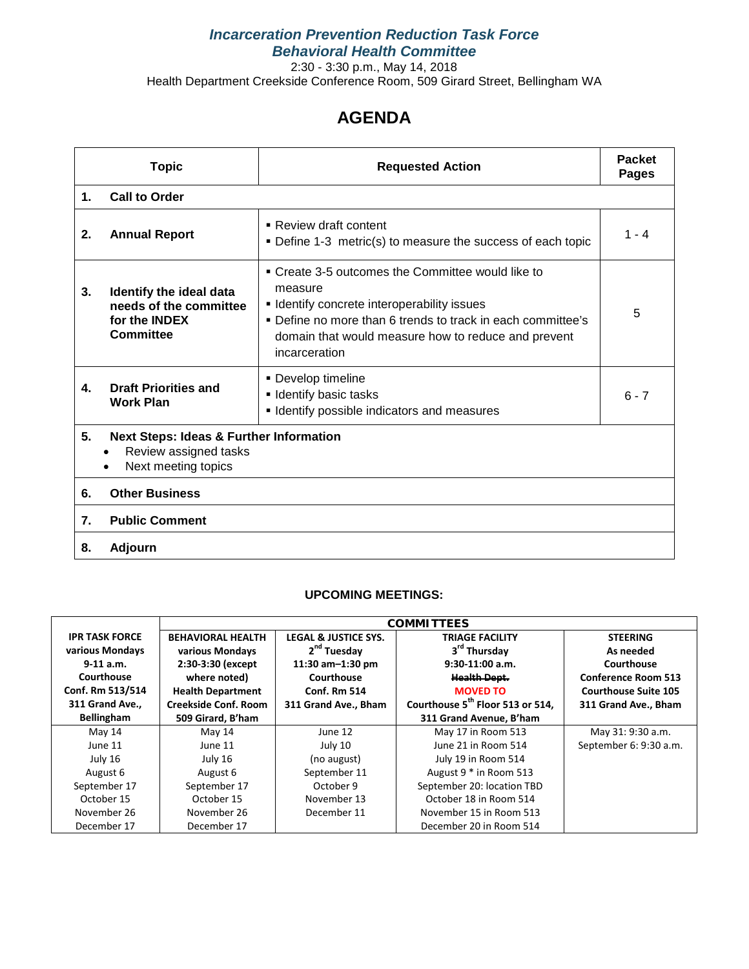## *Incarceration Prevention Reduction Task Force Behavioral Health Committee*

2:30 - 3:30 p.m., May 14, 2018 Health Department Creekside Conference Room, 509 Girard Street, Bellingham WA

## **AGENDA**

|                | <b>Topic</b>                                                                                       | <b>Requested Action</b>                                                                                                                                                                                                                                   | <b>Packet</b><br><b>Pages</b> |  |  |  |  |  |
|----------------|----------------------------------------------------------------------------------------------------|-----------------------------------------------------------------------------------------------------------------------------------------------------------------------------------------------------------------------------------------------------------|-------------------------------|--|--|--|--|--|
| $\mathbf{1}$ . | <b>Call to Order</b>                                                                               |                                                                                                                                                                                                                                                           |                               |  |  |  |  |  |
| 2.             | <b>Annual Report</b>                                                                               | ■ Review draft content<br>• Define 1-3 metric(s) to measure the success of each topic                                                                                                                                                                     | $1 - 4$                       |  |  |  |  |  |
| 3.             | Identify the ideal data<br>needs of the committee<br>for the <b>INDEX</b><br>Committee             | • Create 3-5 outcomes the Committee would like to<br>measure<br><b>I</b> Identify concrete interoperability issues<br>• Define no more than 6 trends to track in each committee's<br>domain that would measure how to reduce and prevent<br>incarceration | 5                             |  |  |  |  |  |
| 4.             | <b>Draft Priorities and</b><br><b>Work Plan</b>                                                    | • Develop timeline<br><b>I</b> Identify basic tasks<br><b>I</b> Identify possible indicators and measures                                                                                                                                                 | $6 - 7$                       |  |  |  |  |  |
| 5.             | <b>Next Steps: Ideas &amp; Further Information</b><br>Review assigned tasks<br>Next meeting topics |                                                                                                                                                                                                                                                           |                               |  |  |  |  |  |
| 6.             | <b>Other Business</b>                                                                              |                                                                                                                                                                                                                                                           |                               |  |  |  |  |  |
| 7.             | <b>Public Comment</b>                                                                              |                                                                                                                                                                                                                                                           |                               |  |  |  |  |  |
| 8.             | <b>Adjourn</b>                                                                                     |                                                                                                                                                                                                                                                           |                               |  |  |  |  |  |

#### **UPCOMING MEETINGS:**

| <b>IPR TASK FORCE</b> | <b>BEHAVIORAL HEALTH</b>    | <b>LEGAL &amp; JUSTICE SYS.</b> | <b>TRIAGE FACILITY</b>                       | <b>STEERING</b>             |  |  |  |  |  |  |
|-----------------------|-----------------------------|---------------------------------|----------------------------------------------|-----------------------------|--|--|--|--|--|--|
| various Mondays       | various Mondays             | 2 <sup>nd</sup> Tuesday         | 3 <sup>rd</sup> Thursday                     | As needed                   |  |  |  |  |  |  |
| $9-11$ a.m.           | 2:30-3:30 (except           | 11:30 am-1:30 pm                | $9:30-11:00$ a.m.                            | Courthouse                  |  |  |  |  |  |  |
| Courthouse            | where noted)                | Courthouse                      | <b>Health Dept.</b>                          | <b>Conference Room 513</b>  |  |  |  |  |  |  |
| Conf. Rm 513/514      | <b>Health Department</b>    | <b>Conf. Rm 514</b>             | <b>MOVED TO</b>                              | <b>Courthouse Suite 105</b> |  |  |  |  |  |  |
| 311 Grand Ave.,       | <b>Creekside Conf. Room</b> | 311 Grand Ave., Bham            | Courthouse 5 <sup>th</sup> Floor 513 or 514, | 311 Grand Ave., Bham        |  |  |  |  |  |  |
| <b>Bellingham</b>     | 509 Girard, B'ham           |                                 | 311 Grand Avenue, B'ham                      |                             |  |  |  |  |  |  |
| May 14                | May 14                      | June 12                         | May 17 in Room 513                           | May 31: 9:30 a.m.           |  |  |  |  |  |  |
| June 11               | June 11                     | July 10                         | June 21 in Room 514                          | September 6: 9:30 a.m.      |  |  |  |  |  |  |
| July 16               | July 16                     | (no august)                     | July 19 in Room 514                          |                             |  |  |  |  |  |  |
| August 6              | August 6                    | September 11                    | August 9 * in Room 513                       |                             |  |  |  |  |  |  |
| September 17          | September 17                | October 9                       | September 20: location TBD                   |                             |  |  |  |  |  |  |
| October 15            | October 15                  | November 13                     | October 18 in Room 514                       |                             |  |  |  |  |  |  |
| November 26           | November 26                 | December 11                     | November 15 in Room 513                      |                             |  |  |  |  |  |  |
| December 17           | December 17                 |                                 | December 20 in Room 514                      |                             |  |  |  |  |  |  |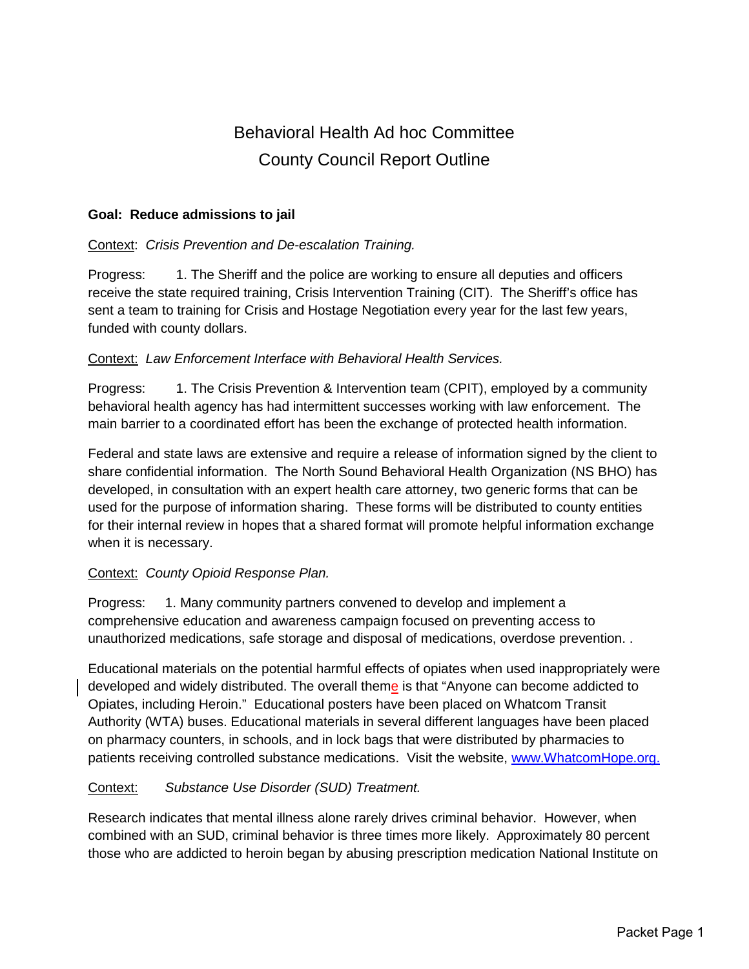# Behavioral Health Ad hoc Committee County Council Report Outline

#### **Goal: Reduce admissions to jail**

#### Context: *Crisis Prevention and De-escalation Training.*

Progress: 1. The Sheriff and the police are working to ensure all deputies and officers receive the state required training, Crisis Intervention Training (CIT). The Sheriff's office has sent a team to training for Crisis and Hostage Negotiation every year for the last few years, funded with county dollars.

#### Context: *Law Enforcement Interface with Behavioral Health Services.*

Progress: 1. The Crisis Prevention & Intervention team (CPIT), employed by a community behavioral health agency has had intermittent successes working with law enforcement. The main barrier to a coordinated effort has been the exchange of protected health information.

Federal and state laws are extensive and require a release of information signed by the client to share confidential information. The North Sound Behavioral Health Organization (NS BHO) has developed, in consultation with an expert health care attorney, two generic forms that can be used for the purpose of information sharing. These forms will be distributed to county entities for their internal review in hopes that a shared format will promote helpful information exchange when it is necessary.

#### Context: *County Opioid Response Plan.*

Progress: 1. Many community partners convened to develop and implement a comprehensive education and awareness campaign focused on preventing access to unauthorized medications, safe storage and disposal of medications, overdose prevention. .

Educational materials on the potential harmful effects of opiates when used inappropriately were developed and widely distributed. The overall theme is that "Anyone can become addicted to Opiates, including Heroin." Educational posters have been placed on Whatcom Transit Authority (WTA) buses. Educational materials in several different languages have been placed on pharmacy counters, in schools, and in lock bags that were distributed by pharmacies to patients receiving controlled substance medications. Visit the website, [www.WhatcomHope.org.](http://www.whatcomhope.org/)

#### Context: *Substance Use Disorder (SUD) Treatment.*

Research indicates that mental illness alone rarely drives criminal behavior. However, when combined with an SUD, criminal behavior is three times more likely. Approximately 80 percent those who are addicted to heroin began by abusing prescription medication National Institute on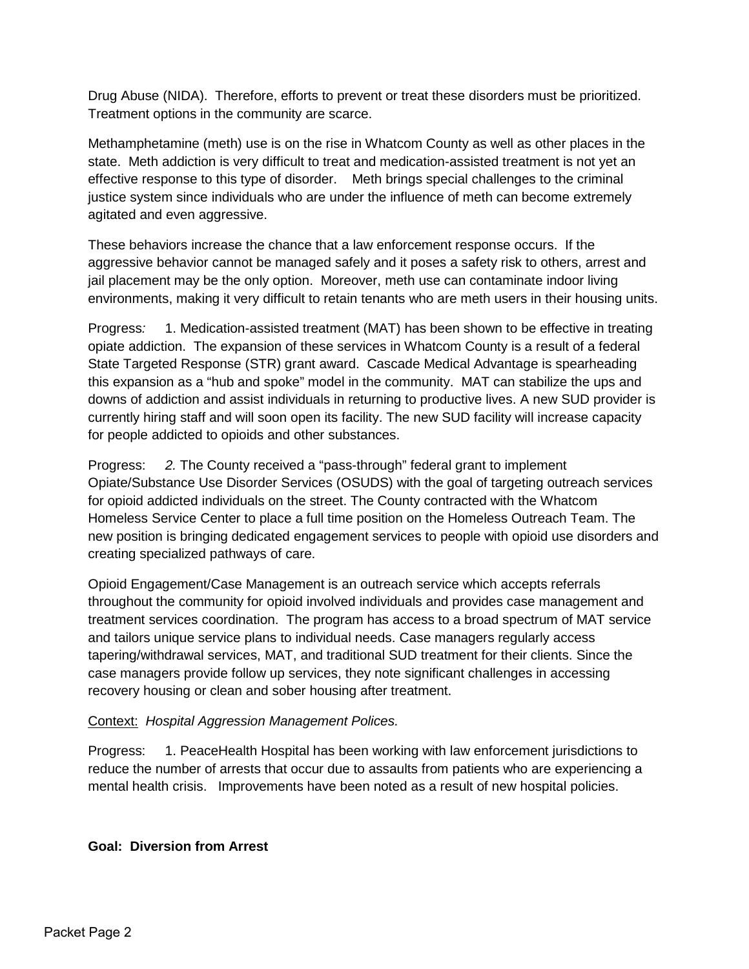Drug Abuse (NIDA). Therefore, efforts to prevent or treat these disorders must be prioritized. Treatment options in the community are scarce.

Methamphetamine (meth) use is on the rise in Whatcom County as well as other places in the state. Meth addiction is very difficult to treat and medication-assisted treatment is not yet an effective response to this type of disorder. Meth brings special challenges to the criminal justice system since individuals who are under the influence of meth can become extremely agitated and even aggressive.

These behaviors increase the chance that a law enforcement response occurs. If the aggressive behavior cannot be managed safely and it poses a safety risk to others, arrest and jail placement may be the only option. Moreover, meth use can contaminate indoor living environments, making it very difficult to retain tenants who are meth users in their housing units.

Progress*:* 1. Medication-assisted treatment (MAT) has been shown to be effective in treating opiate addiction. The expansion of these services in Whatcom County is a result of a federal State Targeted Response (STR) grant award. Cascade Medical Advantage is spearheading this expansion as a "hub and spoke" model in the community. MAT can stabilize the ups and downs of addiction and assist individuals in returning to productive lives. A new SUD provider is currently hiring staff and will soon open its facility. The new SUD facility will increase capacity for people addicted to opioids and other substances.

Progress: *2.* The County received a "pass-through" federal grant to implement Opiate/Substance Use Disorder Services (OSUDS) with the goal of targeting outreach services for opioid addicted individuals on the street. The County contracted with the Whatcom Homeless Service Center to place a full time position on the Homeless Outreach Team. The new position is bringing dedicated engagement services to people with opioid use disorders and creating specialized pathways of care.

Opioid Engagement/Case Management is an outreach service which accepts referrals throughout the community for opioid involved individuals and provides case management and treatment services coordination. The program has access to a broad spectrum of MAT service and tailors unique service plans to individual needs. Case managers regularly access tapering/withdrawal services, MAT, and traditional SUD treatment for their clients. Since the case managers provide follow up services, they note significant challenges in accessing recovery housing or clean and sober housing after treatment.

## Context: *Hospital Aggression Management Polices.*

Progress: 1. PeaceHealth Hospital has been working with law enforcement jurisdictions to reduce the number of arrests that occur due to assaults from patients who are experiencing a mental health crisis. Improvements have been noted as a result of new hospital policies.

#### **Goal: Diversion from Arrest**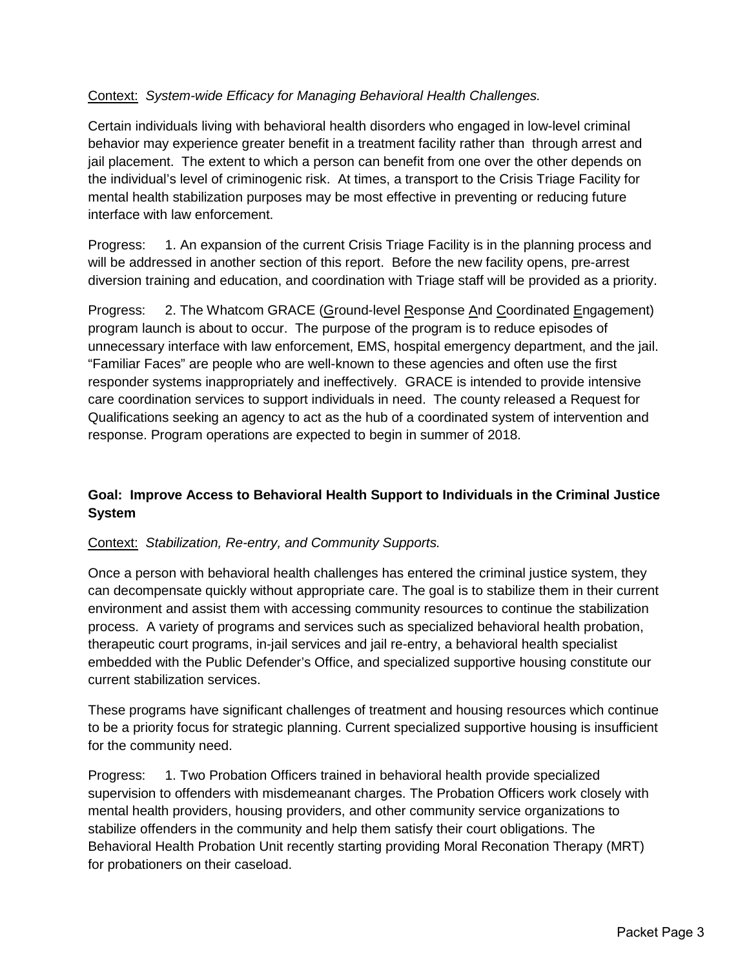## Context: *System-wide Efficacy for Managing Behavioral Health Challenges.*

Certain individuals living with behavioral health disorders who engaged in low-level criminal behavior may experience greater benefit in a treatment facility rather than through arrest and jail placement. The extent to which a person can benefit from one over the other depends on the individual's level of criminogenic risk. At times, a transport to the Crisis Triage Facility for mental health stabilization purposes may be most effective in preventing or reducing future interface with law enforcement.

Progress: 1. An expansion of the current Crisis Triage Facility is in the planning process and will be addressed in another section of this report. Before the new facility opens, pre-arrest diversion training and education, and coordination with Triage staff will be provided as a priority.

Progress: 2. The Whatcom GRACE (Ground-level Response And Coordinated Engagement) program launch is about to occur. The purpose of the program is to reduce episodes of unnecessary interface with law enforcement, EMS, hospital emergency department, and the jail. "Familiar Faces" are people who are well-known to these agencies and often use the first responder systems inappropriately and ineffectively. GRACE is intended to provide intensive care coordination services to support individuals in need. The county released a Request for Qualifications seeking an agency to act as the hub of a coordinated system of intervention and response. Program operations are expected to begin in summer of 2018.

## **Goal: Improve Access to Behavioral Health Support to Individuals in the Criminal Justice System**

#### Context: *Stabilization, Re-entry, and Community Supports.*

Once a person with behavioral health challenges has entered the criminal justice system, they can decompensate quickly without appropriate care. The goal is to stabilize them in their current environment and assist them with accessing community resources to continue the stabilization process. A variety of programs and services such as specialized behavioral health probation, therapeutic court programs, in-jail services and jail re-entry, a behavioral health specialist embedded with the Public Defender's Office, and specialized supportive housing constitute our current stabilization services.

These programs have significant challenges of treatment and housing resources which continue to be a priority focus for strategic planning. Current specialized supportive housing is insufficient for the community need.

Progress: 1. Two Probation Officers trained in behavioral health provide specialized supervision to offenders with misdemeanant charges. The Probation Officers work closely with mental health providers, housing providers, and other community service organizations to stabilize offenders in the community and help them satisfy their court obligations. The Behavioral Health Probation Unit recently starting providing Moral Reconation Therapy (MRT) for probationers on their caseload.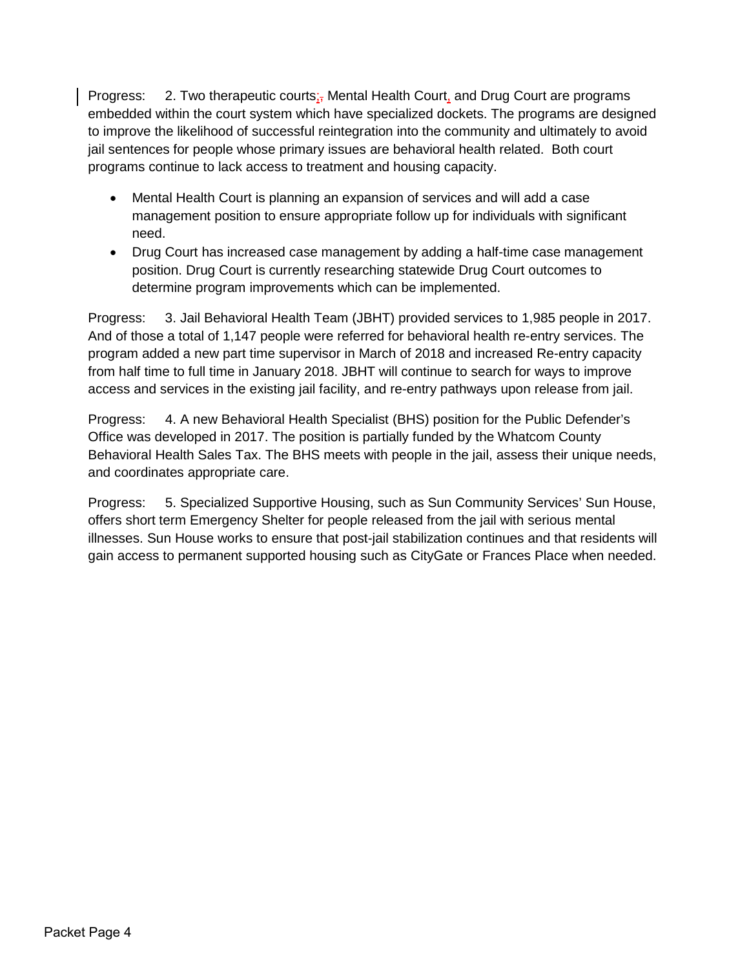Progress: 2. Two therapeutic courts;<sub> $\overline{1}$ </sub> Mental Health Court, and Drug Court are programs embedded within the court system which have specialized dockets. The programs are designed to improve the likelihood of successful reintegration into the community and ultimately to avoid jail sentences for people whose primary issues are behavioral health related. Both court programs continue to lack access to treatment and housing capacity.

- Mental Health Court is planning an expansion of services and will add a case management position to ensure appropriate follow up for individuals with significant need.
- Drug Court has increased case management by adding a half-time case management position. Drug Court is currently researching statewide Drug Court outcomes to determine program improvements which can be implemented.

Progress: 3. Jail Behavioral Health Team (JBHT) provided services to 1,985 people in 2017. And of those a total of 1,147 people were referred for behavioral health re-entry services. The program added a new part time supervisor in March of 2018 and increased Re-entry capacity from half time to full time in January 2018. JBHT will continue to search for ways to improve access and services in the existing jail facility, and re-entry pathways upon release from jail.

Progress: 4. A new Behavioral Health Specialist (BHS) position for the Public Defender's Office was developed in 2017. The position is partially funded by the Whatcom County Behavioral Health Sales Tax. The BHS meets with people in the jail, assess their unique needs, and coordinates appropriate care.

Progress: 5. Specialized Supportive Housing, such as Sun Community Services' Sun House, offers short term Emergency Shelter for people released from the jail with serious mental illnesses. Sun House works to ensure that post-jail stabilization continues and that residents will gain access to permanent supported housing such as CityGate or Frances Place when needed.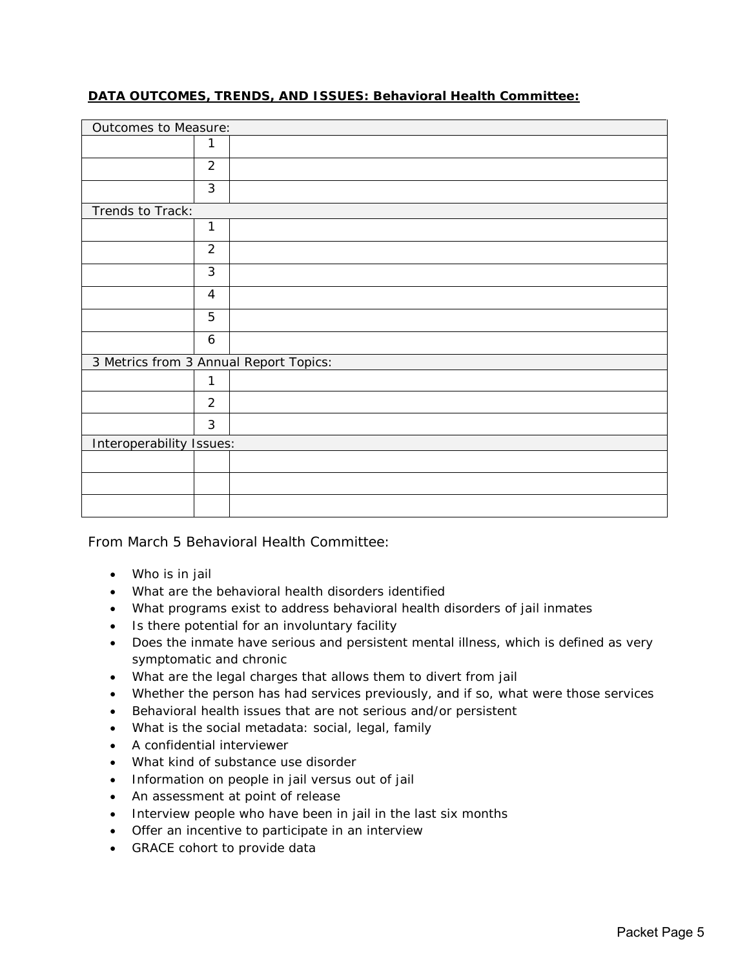#### **DATA OUTCOMES, TRENDS, AND ISSUES: Behavioral Health Committee:**

| Outcomes to Measure:     |                |                                        |
|--------------------------|----------------|----------------------------------------|
|                          | 1              |                                        |
|                          | $\overline{2}$ |                                        |
|                          | 3              |                                        |
| Trends to Track:         |                |                                        |
|                          | $\mathbf{1}$   |                                        |
|                          | $\overline{2}$ |                                        |
|                          | 3              |                                        |
|                          | $\overline{4}$ |                                        |
|                          | 5              |                                        |
|                          | 6              |                                        |
|                          |                | 3 Metrics from 3 Annual Report Topics: |
|                          | 1              |                                        |
|                          | $\overline{2}$ |                                        |
|                          | 3              |                                        |
| Interoperability Issues: |                |                                        |
|                          |                |                                        |
|                          |                |                                        |
|                          |                |                                        |

From March 5 Behavioral Health Committee:

- Who is in jail
- What are the behavioral health disorders identified
- What programs exist to address behavioral health disorders of jail inmates
- Is there potential for an involuntary facility
- Does the inmate have serious and persistent mental illness, which is defined as very symptomatic and chronic
- What are the legal charges that allows them to divert from jail
- Whether the person has had services previously, and if so, what were those services
- Behavioral health issues that are not serious and/or persistent
- What is the social metadata: social, legal, family
- A confidential interviewer
- What kind of substance use disorder
- Information on people in jail versus out of jail
- An assessment at point of release
- Interview people who have been in jail in the last six months
- Offer an incentive to participate in an interview
- GRACE cohort to provide data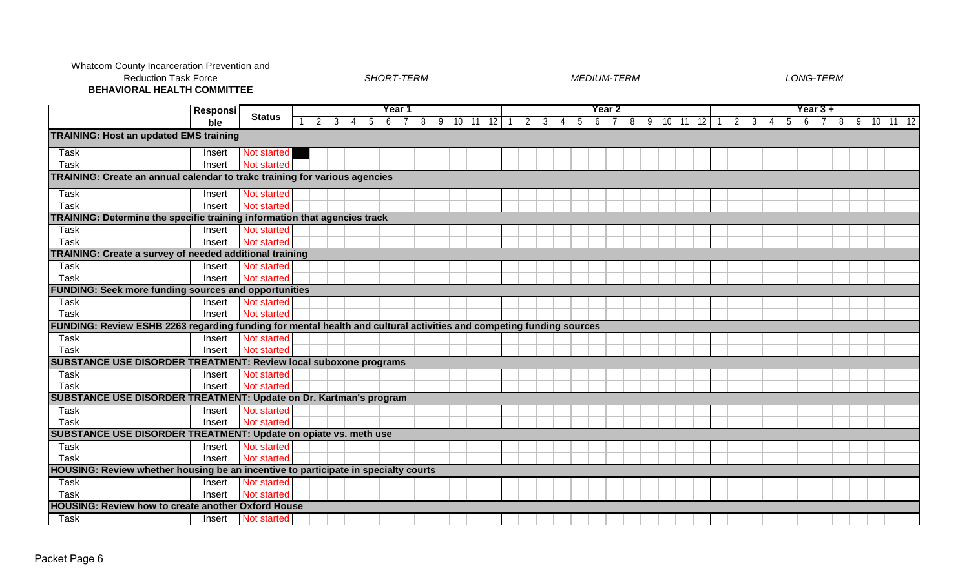Whatcom County Incarceration Prevention and Reduction Task Force

*SHORT-TERM MEDIUM-TERM LONG-TERM*

**BEHAVIORAL HEALTH COMMITTEE**

|                                                                                                                     | <b>Responsi</b> |                    | Year 1 |         |   |   |   |  |   |    |  |          |   |   |    |    |   | Year 2 |   |     |       |    |                |    |   |   | Year 3 + |   |   |          |  |  |
|---------------------------------------------------------------------------------------------------------------------|-----------------|--------------------|--------|---------|---|---|---|--|---|----|--|----------|---|---|----|----|---|--------|---|-----|-------|----|----------------|----|---|---|----------|---|---|----------|--|--|
|                                                                                                                     | ble             | <b>Status</b>      |        | 2<br>-3 | 4 | 5 | 6 |  | 8 | -9 |  | 10 11 12 | 2 | 3 | -4 | -5 | 6 |        | 8 | - 9 | 10 11 | 12 | $\overline{2}$ | -3 | b | 6 |          | 8 | 9 | 10 11 12 |  |  |
| <b>TRAINING: Host an updated EMS training</b>                                                                       |                 |                    |        |         |   |   |   |  |   |    |  |          |   |   |    |    |   |        |   |     |       |    |                |    |   |   |          |   |   |          |  |  |
| Task                                                                                                                | Insert          | Not started        |        |         |   |   |   |  |   |    |  |          |   |   |    |    |   |        |   |     |       |    |                |    |   |   |          |   |   |          |  |  |
| <b>Task</b>                                                                                                         | Insert          | Not started        |        |         |   |   |   |  |   |    |  |          |   |   |    |    |   |        |   |     |       |    |                |    |   |   |          |   |   |          |  |  |
| TRAINING: Create an annual calendar to trakc training for various agencies                                          |                 |                    |        |         |   |   |   |  |   |    |  |          |   |   |    |    |   |        |   |     |       |    |                |    |   |   |          |   |   |          |  |  |
| Task                                                                                                                | Insert          | Not started        |        |         |   |   |   |  |   |    |  |          |   |   |    |    |   |        |   |     |       |    |                |    |   |   |          |   |   |          |  |  |
| Task                                                                                                                | Insert          | Not started        |        |         |   |   |   |  |   |    |  |          |   |   |    |    |   |        |   |     |       |    |                |    |   |   |          |   |   |          |  |  |
| TRAINING: Determine the specific training information that agencies track                                           |                 |                    |        |         |   |   |   |  |   |    |  |          |   |   |    |    |   |        |   |     |       |    |                |    |   |   |          |   |   |          |  |  |
| <b>Task</b>                                                                                                         | Insert          | Not started        |        |         |   |   |   |  |   |    |  |          |   |   |    |    |   |        |   |     |       |    |                |    |   |   |          |   |   |          |  |  |
| <b>Task</b>                                                                                                         | Insert          | Not started        |        |         |   |   |   |  |   |    |  |          |   |   |    |    |   |        |   |     |       |    |                |    |   |   |          |   |   |          |  |  |
| <b>TRAINING: Create a survey of needed additional training</b>                                                      |                 |                    |        |         |   |   |   |  |   |    |  |          |   |   |    |    |   |        |   |     |       |    |                |    |   |   |          |   |   |          |  |  |
| <b>Task</b>                                                                                                         | Insert          | Not started        |        |         |   |   |   |  |   |    |  |          |   |   |    |    |   |        |   |     |       |    |                |    |   |   |          |   |   |          |  |  |
| Task                                                                                                                | Insert          | Not started        |        |         |   |   |   |  |   |    |  |          |   |   |    |    |   |        |   |     |       |    |                |    |   |   |          |   |   |          |  |  |
| <b>FUNDING: Seek more funding sources and opportunities</b>                                                         |                 |                    |        |         |   |   |   |  |   |    |  |          |   |   |    |    |   |        |   |     |       |    |                |    |   |   |          |   |   |          |  |  |
| Task                                                                                                                | Insert          | <b>Not started</b> |        |         |   |   |   |  |   |    |  |          |   |   |    |    |   |        |   |     |       |    |                |    |   |   |          |   |   |          |  |  |
| Task                                                                                                                | Insert          | Not started        |        |         |   |   |   |  |   |    |  |          |   |   |    |    |   |        |   |     |       |    |                |    |   |   |          |   |   |          |  |  |
| FUNDING: Review ESHB 2263 regarding funding for mental health and cultural activities and competing funding sources |                 |                    |        |         |   |   |   |  |   |    |  |          |   |   |    |    |   |        |   |     |       |    |                |    |   |   |          |   |   |          |  |  |
| Task                                                                                                                | Insert          | Not started        |        |         |   |   |   |  |   |    |  |          |   |   |    |    |   |        |   |     |       |    |                |    |   |   |          |   |   |          |  |  |
| Task                                                                                                                | Insert          | <b>Not started</b> |        |         |   |   |   |  |   |    |  |          |   |   |    |    |   |        |   |     |       |    |                |    |   |   |          |   |   |          |  |  |
| <b>SUBSTANCE USE DISORDER TREATMENT: Review local suboxone programs</b>                                             |                 |                    |        |         |   |   |   |  |   |    |  |          |   |   |    |    |   |        |   |     |       |    |                |    |   |   |          |   |   |          |  |  |
| Task                                                                                                                | Insert          | Not started        |        |         |   |   |   |  |   |    |  |          |   |   |    |    |   |        |   |     |       |    |                |    |   |   |          |   |   |          |  |  |
| Task                                                                                                                | Insert          | Not started        |        |         |   |   |   |  |   |    |  |          |   |   |    |    |   |        |   |     |       |    |                |    |   |   |          |   |   |          |  |  |
| <b>SUBSTANCE USE DISORDER TREATMENT: Update on Dr. Kartman's program</b>                                            |                 |                    |        |         |   |   |   |  |   |    |  |          |   |   |    |    |   |        |   |     |       |    |                |    |   |   |          |   |   |          |  |  |
| <b>Task</b>                                                                                                         | Insert          | Not started        |        |         |   |   |   |  |   |    |  |          |   |   |    |    |   |        |   |     |       |    |                |    |   |   |          |   |   |          |  |  |
| Task                                                                                                                | Insert          | Not started        |        |         |   |   |   |  |   |    |  |          |   |   |    |    |   |        |   |     |       |    |                |    |   |   |          |   |   |          |  |  |
| SUBSTANCE USE DISORDER TREATMENT: Update on opiate vs. meth use                                                     |                 |                    |        |         |   |   |   |  |   |    |  |          |   |   |    |    |   |        |   |     |       |    |                |    |   |   |          |   |   |          |  |  |
| <b>Task</b>                                                                                                         | Insert          | Not started        |        |         |   |   |   |  |   |    |  |          |   |   |    |    |   |        |   |     |       |    |                |    |   |   |          |   |   |          |  |  |
| <b>Task</b>                                                                                                         | Insert          | Not started        |        |         |   |   |   |  |   |    |  |          |   |   |    |    |   |        |   |     |       |    |                |    |   |   |          |   |   |          |  |  |
| HOUSING: Review whether housing be an incentive to participate in specialty courts                                  |                 |                    |        |         |   |   |   |  |   |    |  |          |   |   |    |    |   |        |   |     |       |    |                |    |   |   |          |   |   |          |  |  |
| <b>Task</b>                                                                                                         | Insert          | Not started        |        |         |   |   |   |  |   |    |  |          |   |   |    |    |   |        |   |     |       |    |                |    |   |   |          |   |   |          |  |  |
| <b>Task</b>                                                                                                         | Insert          | Not started        |        |         |   |   |   |  |   |    |  |          |   |   |    |    |   |        |   |     |       |    |                |    |   |   |          |   |   |          |  |  |
| <b>HOUSING: Review how to create another Oxford House</b>                                                           |                 |                    |        |         |   |   |   |  |   |    |  |          |   |   |    |    |   |        |   |     |       |    |                |    |   |   |          |   |   |          |  |  |
| Task                                                                                                                | Insert          | Not started        |        |         |   |   |   |  |   |    |  |          |   |   |    |    |   |        |   |     |       |    |                |    |   |   |          |   |   |          |  |  |